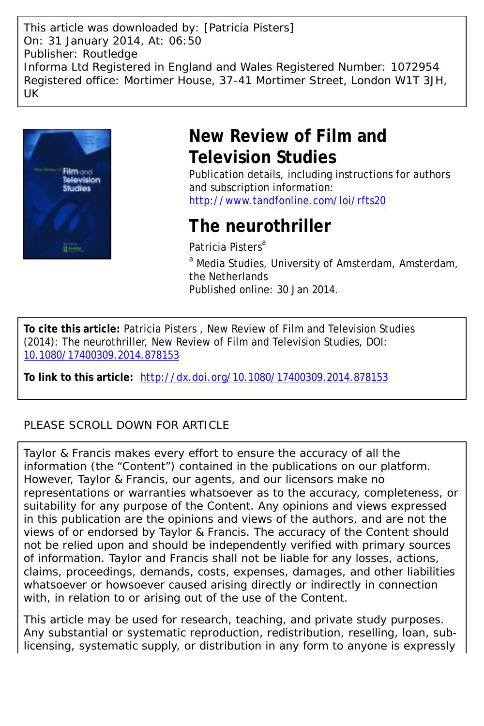This article was downloaded by: [Patricia Pisters] On: 31 January 2014, At: 06:50 Publisher: Routledge Informa Ltd Registered in England and Wales Registered Number: 1072954 Registered office: Mortimer House, 37-41 Mortimer Street, London W1T 3JH, UK



# **New Review of Film and Television Studies**

Publication details, including instructions for authors and subscription information: <http://www.tandfonline.com/loi/rfts20>

## **The neurothriller**

Patricia Pisters<sup>a</sup>

<sup>a</sup> Media Studies, University of Amsterdam, Amsterdam, the Netherlands Published online: 30 Jan 2014.

**To cite this article:** Patricia Pisters , New Review of Film and Television Studies (2014): The neurothriller, New Review of Film and Television Studies, DOI: [10.1080/17400309.2014.878153](http://www.tandfonline.com/action/showCitFormats?doi=10.1080/17400309.2014.878153)

**To link to this article:** <http://dx.doi.org/10.1080/17400309.2014.878153>

### PLEASE SCROLL DOWN FOR ARTICLE

Taylor & Francis makes every effort to ensure the accuracy of all the information (the "Content") contained in the publications on our platform. However, Taylor & Francis, our agents, and our licensors make no representations or warranties whatsoever as to the accuracy, completeness, or suitability for any purpose of the Content. Any opinions and views expressed in this publication are the opinions and views of the authors, and are not the views of or endorsed by Taylor & Francis. The accuracy of the Content should not be relied upon and should be independently verified with primary sources of information. Taylor and Francis shall not be liable for any losses, actions, claims, proceedings, demands, costs, expenses, damages, and other liabilities whatsoever or howsoever caused arising directly or indirectly in connection with, in relation to or arising out of the use of the Content.

This article may be used for research, teaching, and private study purposes. Any substantial or systematic reproduction, redistribution, reselling, loan, sublicensing, systematic supply, or distribution in any form to anyone is expressly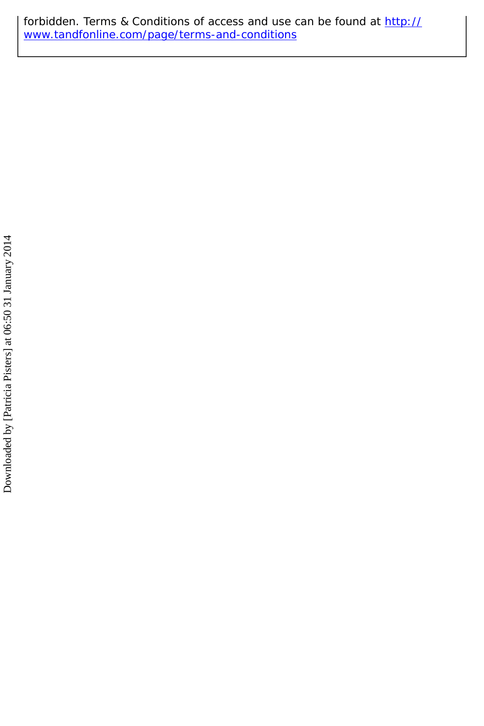forbidden. Terms & Conditions of access and use can be found at [http://](http://www.tandfonline.com/page/terms-and-conditions) [www.tandfonline.com/page/terms-and-conditions](http://www.tandfonline.com/page/terms-and-conditions)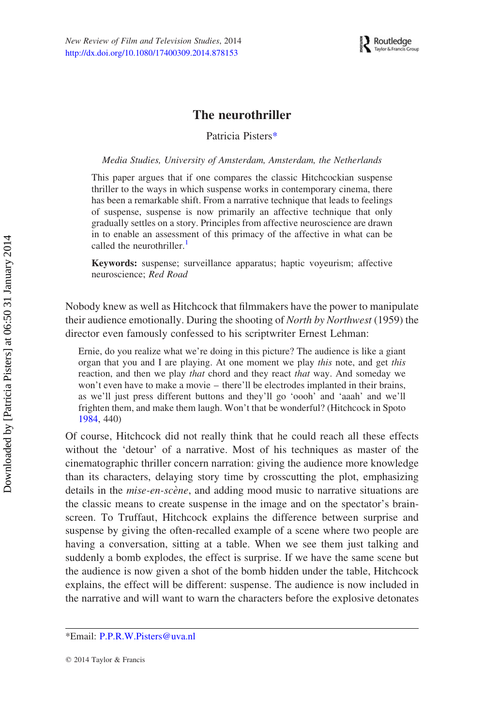#### The neurothriller

Patricia Pisters[\\*](#page-2-0)

#### Media Studies, University of Amsterdam, Amsterdam, the Netherlands

This paper argues that if one compares the classic Hitchcockian suspense thriller to the ways in which suspense works in contemporary cinema, there has been a remarkable shift. From a narrative technique that leads to feelings of suspense, suspense is now primarily an affective technique that only gradually settles on a story. Principles from affective neuroscience are drawn in to enable an assessment of this primacy of the affective in what can be called the neurothriller.<sup>[1](#page-11-0)</sup>

Keywords: suspense; surveillance apparatus; haptic voyeurism; affective neuroscience; Red Road

Nobody knew as well as Hitchcock that filmmakers have the power to manipulate their audience emotionally. During the shooting of North by Northwest (1959) the director even famously confessed to his scriptwriter Ernest Lehman:

Ernie, do you realize what we're doing in this picture? The audience is like a giant organ that you and I are playing. At one moment we play *this* note, and get *this* reaction, and then we play *that* chord and they react *that* way. And someday we won't even have to make a movie – there'll be electrodes implanted in their brains, as we'll just press different buttons and they'll go 'oooh' and 'aaah' and we'll frighten them, and make them laugh. Won't that be wonderful? (Hitchcock in Spoto [1984,](#page-12-0) 440)

Of course, Hitchcock did not really think that he could reach all these effects without the 'detour' of a narrative. Most of his techniques as master of the cinematographic thriller concern narration: giving the audience more knowledge than its characters, delaying story time by crosscutting the plot, emphasizing details in the *mise-en-scène*, and adding mood music to narrative situations are the classic means to create suspense in the image and on the spectator's brainscreen. To Truffaut, Hitchcock explains the difference between surprise and suspense by giving the often-recalled example of a scene where two people are having a conversation, sitting at a table. When we see them just talking and suddenly a bomb explodes, the effect is surprise. If we have the same scene but the audience is now given a shot of the bomb hidden under the table, Hitchcock explains, the effect will be different: suspense. The audience is now included in the narrative and will want to warn the characters before the explosive detonates

<span id="page-2-0"></span><sup>\*</sup>Email: [P.P.R.W.Pisters@uva.nl](mailto:P.P.R.W.Pisters@uva.nl)

*q* 2014 Taylor & Francis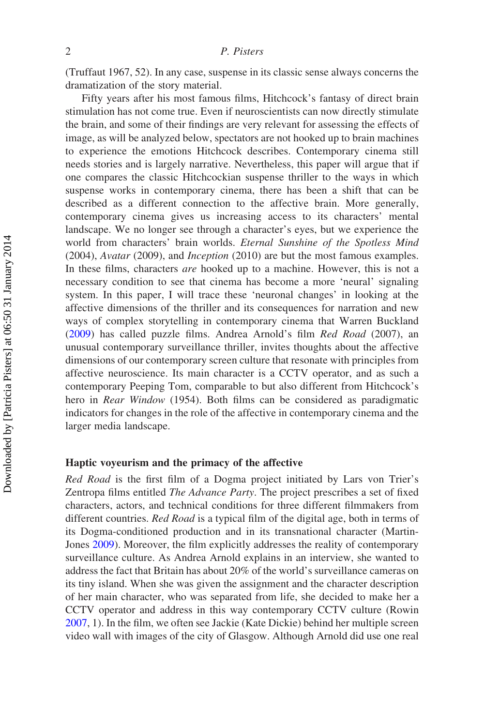(Truffaut 1967, 52). In any case, suspense in its classic sense always concerns the dramatization of the story material.

Fifty years after his most famous films, Hitchcock's fantasy of direct brain stimulation has not come true. Even if neuroscientists can now directly stimulate the brain, and some of their findings are very relevant for assessing the effects of image, as will be analyzed below, spectators are not hooked up to brain machines to experience the emotions Hitchcock describes. Contemporary cinema still needs stories and is largely narrative. Nevertheless, this paper will argue that if one compares the classic Hitchcockian suspense thriller to the ways in which suspense works in contemporary cinema, there has been a shift that can be described as a different connection to the affective brain. More generally, contemporary cinema gives us increasing access to its characters' mental landscape. We no longer see through a character's eyes, but we experience the world from characters' brain worlds. Eternal Sunshine of the Spotless Mind (2004), Avatar (2009), and Inception (2010) are but the most famous examples. In these films, characters are hooked up to a machine. However, this is not a necessary condition to see that cinema has become a more 'neural' signaling system. In this paper, I will trace these 'neuronal changes' in looking at the affective dimensions of the thriller and its consequences for narration and new ways of complex storytelling in contemporary cinema that Warren Buckland [\(2009\)](#page-11-1) has called puzzle films. Andrea Arnold's film Red Road (2007), an unusual contemporary surveillance thriller, invites thoughts about the affective dimensions of our contemporary screen culture that resonate with principles from affective neuroscience. Its main character is a CCTV operator, and as such a contemporary Peeping Tom, comparable to but also different from Hitchcock's hero in Rear Window (1954). Both films can be considered as paradigmatic indicators for changes in the role of the affective in contemporary cinema and the larger media landscape.

#### Haptic voyeurism and the primacy of the affective

Red Road is the first film of a Dogma project initiated by Lars von Trier's Zentropa films entitled The Advance Party. The project prescribes a set of fixed characters, actors, and technical conditions for three different filmmakers from different countries. *Red Road* is a typical film of the digital age, both in terms of its Dogma-conditioned production and in its transnational character (Martin-Jones [2009](#page-12-1)). Moreover, the film explicitly addresses the reality of contemporary surveillance culture. As Andrea Arnold explains in an interview, she wanted to address the fact that Britain has about 20% of the world's surveillance cameras on its tiny island. When she was given the assignment and the character description of her main character, who was separated from life, she decided to make her a CCTV operator and address in this way contemporary CCTV culture (Rowin [2007,](#page-12-2) 1). In the film, we often see Jackie (Kate Dickie) behind her multiple screen video wall with images of the city of Glasgow. Although Arnold did use one real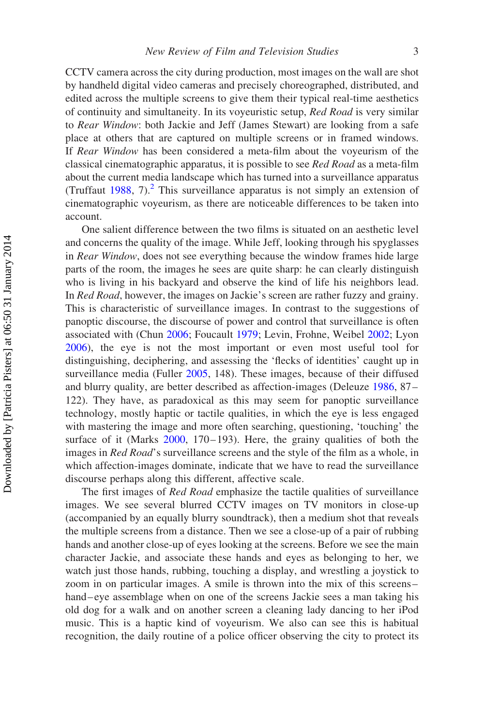CCTV camera across the city during production, most images on the wall are shot by handheld digital video cameras and precisely choreographed, distributed, and edited across the multiple screens to give them their typical real-time aesthetics of continuity and simultaneity. In its voyeuristic setup, Red Road is very similar to Rear Window: both Jackie and Jeff (James Stewart) are looking from a safe place at others that are captured on multiple screens or in framed windows. If Rear Window has been considered a meta-film about the voyeurism of the classical cinematographic apparatus, it is possible to see Red Road as a meta-film about the current media landscape which has turned into a surveillance apparatus (Truffaut [1988](#page-12-3),  $7$ ).<sup>2</sup> This surveillance apparatus is not simply an extension of cinematographic voyeurism, as there are noticeable differences to be taken into account.

One salient difference between the two films is situated on an aesthetic level and concerns the quality of the image. While Jeff, looking through his spyglasses in Rear Window, does not see everything because the window frames hide large parts of the room, the images he sees are quite sharp: he can clearly distinguish who is living in his backyard and observe the kind of life his neighbors lead. In Red Road, however, the images on Jackie's screen are rather fuzzy and grainy. This is characteristic of surveillance images. In contrast to the suggestions of panoptic discourse, the discourse of power and control that surveillance is often associated with (Chun [2006](#page-11-3); Foucault [1979;](#page-12-4) Levin, Frohne, Weibel [2002;](#page-12-5) Lyon [2006\)](#page-12-6), the eye is not the most important or even most useful tool for distinguishing, deciphering, and assessing the 'flecks of identities' caught up in surveillance media (Fuller [2005,](#page-12-7) 148). These images, because of their diffused and blurry quality, are better described as affection-images (Deleuze [1986](#page-12-8), 87 – 122). They have, as paradoxical as this may seem for panoptic surveillance technology, mostly haptic or tactile qualities, in which the eye is less engaged with mastering the image and more often searching, questioning, 'touching' the surface of it (Marks  $2000$ , 170–193). Here, the grainy qualities of both the images in Red Road's surveillance screens and the style of the film as a whole, in which affection-images dominate, indicate that we have to read the surveillance discourse perhaps along this different, affective scale.

The first images of *Red Road* emphasize the tactile qualities of surveillance images. We see several blurred CCTV images on TV monitors in close-up (accompanied by an equally blurry soundtrack), then a medium shot that reveals the multiple screens from a distance. Then we see a close-up of a pair of rubbing hands and another close-up of eyes looking at the screens. Before we see the main character Jackie, and associate these hands and eyes as belonging to her, we watch just those hands, rubbing, touching a display, and wrestling a joystick to zoom in on particular images. A smile is thrown into the mix of this screens – hand –eye assemblage when on one of the screens Jackie sees a man taking his old dog for a walk and on another screen a cleaning lady dancing to her iPod music. This is a haptic kind of voyeurism. We also can see this is habitual recognition, the daily routine of a police officer observing the city to protect its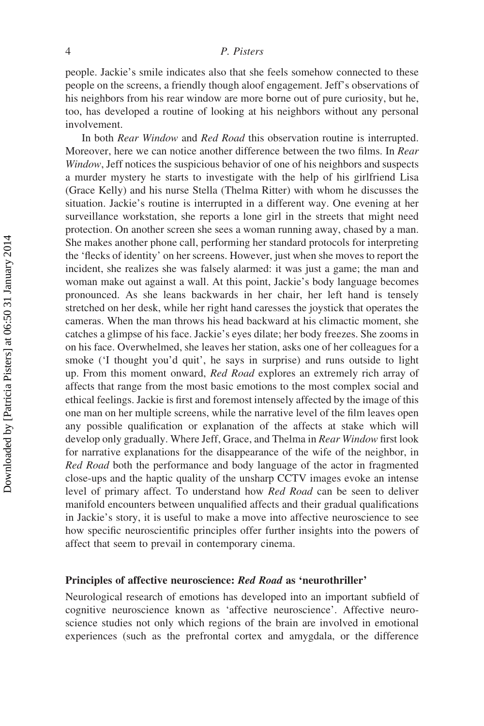#### 4 P. Pisters

people. Jackie's smile indicates also that she feels somehow connected to these people on the screens, a friendly though aloof engagement. Jeff's observations of his neighbors from his rear window are more borne out of pure curiosity, but he, too, has developed a routine of looking at his neighbors without any personal involvement.

In both Rear Window and Red Road this observation routine is interrupted. Moreover, here we can notice another difference between the two films. In Rear Window, Jeff notices the suspicious behavior of one of his neighbors and suspects a murder mystery he starts to investigate with the help of his girlfriend Lisa (Grace Kelly) and his nurse Stella (Thelma Ritter) with whom he discusses the situation. Jackie's routine is interrupted in a different way. One evening at her surveillance workstation, she reports a lone girl in the streets that might need protection. On another screen she sees a woman running away, chased by a man. She makes another phone call, performing her standard protocols for interpreting the 'flecks of identity' on her screens. However, just when she moves to report the incident, she realizes she was falsely alarmed: it was just a game; the man and woman make out against a wall. At this point, Jackie's body language becomes pronounced. As she leans backwards in her chair, her left hand is tensely stretched on her desk, while her right hand caresses the joystick that operates the cameras. When the man throws his head backward at his climactic moment, she catches a glimpse of his face. Jackie's eyes dilate; her body freezes. She zooms in on his face. Overwhelmed, she leaves her station, asks one of her colleagues for a smoke ('I thought you'd quit', he says in surprise) and runs outside to light up. From this moment onward, *Red Road* explores an extremely rich array of affects that range from the most basic emotions to the most complex social and ethical feelings. Jackie is first and foremost intensely affected by the image of this one man on her multiple screens, while the narrative level of the film leaves open any possible qualification or explanation of the affects at stake which will develop only gradually. Where Jeff, Grace, and Thelma in Rear Window first look for narrative explanations for the disappearance of the wife of the neighbor, in Red Road both the performance and body language of the actor in fragmented close-ups and the haptic quality of the unsharp CCTV images evoke an intense level of primary affect. To understand how Red Road can be seen to deliver manifold encounters between unqualified affects and their gradual qualifications in Jackie's story, it is useful to make a move into affective neuroscience to see how specific neuroscientific principles offer further insights into the powers of affect that seem to prevail in contemporary cinema.

#### Principles of affective neuroscience: Red Road as 'neurothriller'

Neurological research of emotions has developed into an important subfield of cognitive neuroscience known as 'affective neuroscience'. Affective neuroscience studies not only which regions of the brain are involved in emotional experiences (such as the prefrontal cortex and amygdala, or the difference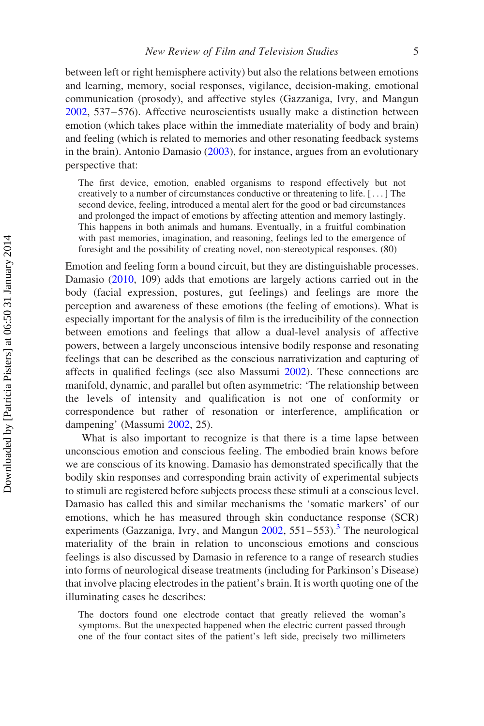between left or right hemisphere activity) but also the relations between emotions and learning, memory, social responses, vigilance, decision-making, emotional communication (prosody), and affective styles (Gazzaniga, Ivry, and Mangun [2002,](#page-12-10) 537– 576). Affective neuroscientists usually make a distinction between emotion (which takes place within the immediate materiality of body and brain) and feeling (which is related to memories and other resonating feedback systems in the brain). Antonio Damasio ([2003\)](#page-12-11), for instance, argues from an evolutionary perspective that:

The first device, emotion, enabled organisms to respond effectively but not creatively to a number of circumstances conductive or threatening to life. [ ... ] The second device, feeling, introduced a mental alert for the good or bad circumstances and prolonged the impact of emotions by affecting attention and memory lastingly. This happens in both animals and humans. Eventually, in a fruitful combination with past memories, imagination, and reasoning, feelings led to the emergence of foresight and the possibility of creating novel, non-stereotypical responses. (80)

Emotion and feeling form a bound circuit, but they are distinguishable processes. Damasio [\(2010](#page-12-12), 109) adds that emotions are largely actions carried out in the body (facial expression, postures, gut feelings) and feelings are more the perception and awareness of these emotions (the feeling of emotions). What is especially important for the analysis of film is the irreducibility of the connection between emotions and feelings that allow a dual-level analysis of affective powers, between a largely unconscious intensive bodily response and resonating feelings that can be described as the conscious narrativization and capturing of affects in qualified feelings (see also Massumi [2002\)](#page-12-13). These connections are manifold, dynamic, and parallel but often asymmetric: 'The relationship between the levels of intensity and qualification is not one of conformity or correspondence but rather of resonation or interference, amplification or dampening' (Massumi [2002](#page-12-13), 25).

What is also important to recognize is that there is a time lapse between unconscious emotion and conscious feeling. The embodied brain knows before we are conscious of its knowing. Damasio has demonstrated specifically that the bodily skin responses and corresponding brain activity of experimental subjects to stimuli are registered before subjects process these stimuli at a conscious level. Damasio has called this and similar mechanisms the 'somatic markers' of our emotions, which he has measured through skin conductance response (SCR) experiments (Gazzaniga, Ivry, and Mangun  $2002$ ,  $551-553$  $551-553$ ).<sup>3</sup> The neurological materiality of the brain in relation to unconscious emotions and conscious feelings is also discussed by Damasio in reference to a range of research studies into forms of neurological disease treatments (including for Parkinson's Disease) that involve placing electrodes in the patient's brain. It is worth quoting one of the illuminating cases he describes:

The doctors found one electrode contact that greatly relieved the woman's symptoms. But the unexpected happened when the electric current passed through one of the four contact sites of the patient's left side, precisely two millimeters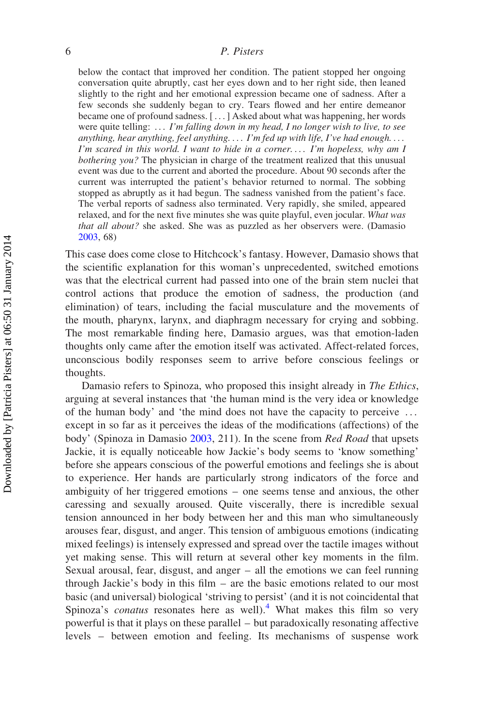#### 6 P. Pisters

below the contact that improved her condition. The patient stopped her ongoing conversation quite abruptly, cast her eyes down and to her right side, then leaned slightly to the right and her emotional expression became one of sadness. After a few seconds she suddenly began to cry. Tears flowed and her entire demeanor became one of profound sadness. [ ... ] Asked about what was happening, her words were quite telling: ... I'm falling down in my head, I no longer wish to live, to see anything, hear anything, feel anything. ... I'm fed up with life, I've had enough. ... I'm scared in this world. I want to hide in a corner. ... I'm hopeless, why am I bothering you? The physician in charge of the treatment realized that this unusual event was due to the current and aborted the procedure. About 90 seconds after the current was interrupted the patient's behavior returned to normal. The sobbing stopped as abruptly as it had begun. The sadness vanished from the patient's face. The verbal reports of sadness also terminated. Very rapidly, she smiled, appeared relaxed, and for the next five minutes she was quite playful, even jocular. What was that all about? she asked. She was as puzzled as her observers were. (Damasio [2003,](#page-12-11) 68)

This case does come close to Hitchcock's fantasy. However, Damasio shows that the scientific explanation for this woman's unprecedented, switched emotions was that the electrical current had passed into one of the brain stem nuclei that control actions that produce the emotion of sadness, the production (and elimination) of tears, including the facial musculature and the movements of the mouth, pharynx, larynx, and diaphragm necessary for crying and sobbing. The most remarkable finding here, Damasio argues, was that emotion-laden thoughts only came after the emotion itself was activated. Affect-related forces, unconscious bodily responses seem to arrive before conscious feelings or thoughts.

Damasio refers to Spinoza, who proposed this insight already in The Ethics, arguing at several instances that 'the human mind is the very idea or knowledge of the human body' and 'the mind does not have the capacity to perceive ... except in so far as it perceives the ideas of the modifications (affections) of the body' (Spinoza in Damasio [2003,](#page-12-11) 211). In the scene from Red Road that upsets Jackie, it is equally noticeable how Jackie's body seems to 'know something' before she appears conscious of the powerful emotions and feelings she is about to experience. Her hands are particularly strong indicators of the force and ambiguity of her triggered emotions – one seems tense and anxious, the other caressing and sexually aroused. Quite viscerally, there is incredible sexual tension announced in her body between her and this man who simultaneously arouses fear, disgust, and anger. This tension of ambiguous emotions (indicating mixed feelings) is intensely expressed and spread over the tactile images without yet making sense. This will return at several other key moments in the film. Sexual arousal, fear, disgust, and anger – all the emotions we can feel running through Jackie's body in this film – are the basic emotions related to our most basic (and universal) biological 'striving to persist' (and it is not coincidental that Spinoza's conatus resonates here as well).<sup>4</sup> What makes this film so very powerful is that it plays on these parallel – but paradoxically resonating affective levels – between emotion and feeling. Its mechanisms of suspense work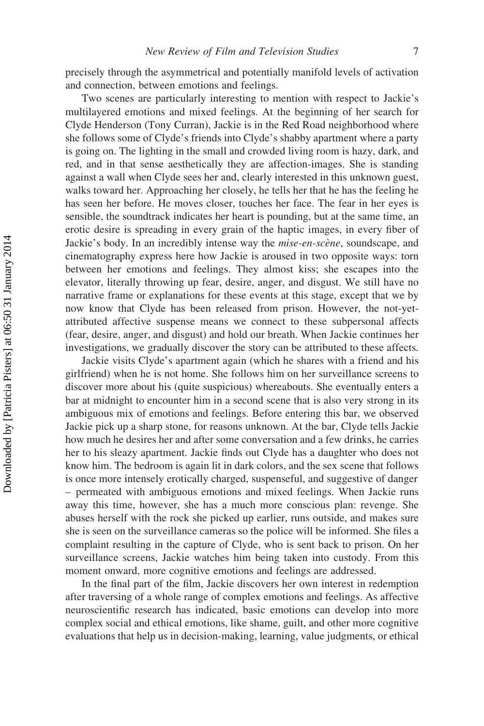precisely through the asymmetrical and potentially manifold levels of activation and connection, between emotions and feelings.

Two scenes are particularly interesting to mention with respect to Jackie's multilayered emotions and mixed feelings. At the beginning of her search for Clyde Henderson (Tony Curran), Jackie is in the Red Road neighborhood where she follows some of Clyde's friends into Clyde's shabby apartment where a party is going on. The lighting in the small and crowded living room is hazy, dark, and red, and in that sense aesthetically they are affection-images. She is standing against a wall when Clyde sees her and, clearly interested in this unknown guest, walks toward her. Approaching her closely, he tells her that he has the feeling he has seen her before. He moves closer, touches her face. The fear in her eyes is sensible, the soundtrack indicates her heart is pounding, but at the same time, an erotic desire is spreading in every grain of the haptic images, in every fiber of Jackie's body. In an incredibly intense way the *mise-en-scène*, soundscape, and cinematography express here how Jackie is aroused in two opposite ways: torn between her emotions and feelings. They almost kiss; she escapes into the elevator, literally throwing up fear, desire, anger, and disgust. We still have no narrative frame or explanations for these events at this stage, except that we by now know that Clyde has been released from prison. However, the not-yetattributed affective suspense means we connect to these subpersonal affects (fear, desire, anger, and disgust) and hold our breath. When Jackie continues her investigations, we gradually discover the story can be attributed to these affects.

Jackie visits Clyde's apartment again (which he shares with a friend and his girlfriend) when he is not home. She follows him on her surveillance screens to discover more about his (quite suspicious) whereabouts. She eventually enters a bar at midnight to encounter him in a second scene that is also very strong in its ambiguous mix of emotions and feelings. Before entering this bar, we observed Jackie pick up a sharp stone, for reasons unknown. At the bar, Clyde tells Jackie how much he desires her and after some conversation and a few drinks, he carries her to his sleazy apartment. Jackie finds out Clyde has a daughter who does not know him. The bedroom is again lit in dark colors, and the sex scene that follows is once more intensely erotically charged, suspenseful, and suggestive of danger – permeated with ambiguous emotions and mixed feelings. When Jackie runs away this time, however, she has a much more conscious plan: revenge. She abuses herself with the rock she picked up earlier, runs outside, and makes sure she is seen on the surveillance cameras so the police will be informed. She files a complaint resulting in the capture of Clyde, who is sent back to prison. On her surveillance screens, Jackie watches him being taken into custody. From this moment onward, more cognitive emotions and feelings are addressed.

In the final part of the film, Jackie discovers her own interest in redemption after traversing of a whole range of complex emotions and feelings. As affective neuroscientific research has indicated, basic emotions can develop into more complex social and ethical emotions, like shame, guilt, and other more cognitive evaluations that help us in decision-making, learning, value judgments, or ethical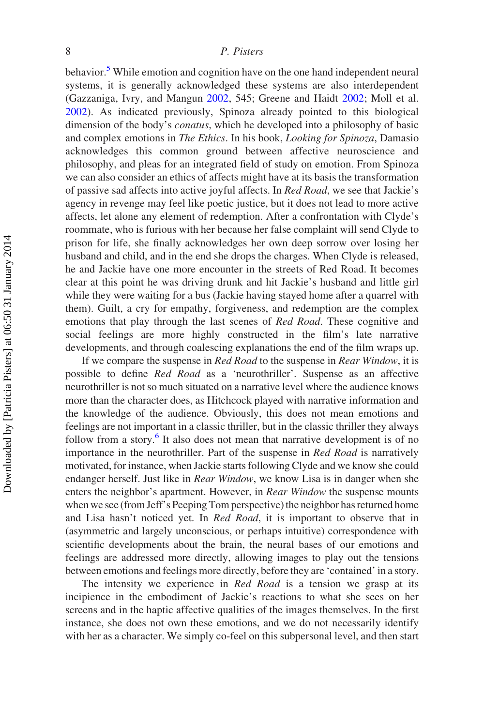#### 8 P. Pisters

behavior.<sup>[5](#page-11-6)</sup> While emotion and cognition have on the one hand independent neural systems, it is generally acknowledged these systems are also interdependent (Gazzaniga, Ivry, and Mangun [2002,](#page-12-10) 545; Greene and Haidt [2002;](#page-12-14) Moll et al. [2002\)](#page-12-15). As indicated previously, Spinoza already pointed to this biological dimension of the body's conatus, which he developed into a philosophy of basic and complex emotions in The Ethics. In his book, Looking for Spinoza, Damasio acknowledges this common ground between affective neuroscience and philosophy, and pleas for an integrated field of study on emotion. From Spinoza we can also consider an ethics of affects might have at its basis the transformation of passive sad affects into active joyful affects. In Red Road, we see that Jackie's agency in revenge may feel like poetic justice, but it does not lead to more active affects, let alone any element of redemption. After a confrontation with Clyde's roommate, who is furious with her because her false complaint will send Clyde to prison for life, she finally acknowledges her own deep sorrow over losing her husband and child, and in the end she drops the charges. When Clyde is released, he and Jackie have one more encounter in the streets of Red Road. It becomes clear at this point he was driving drunk and hit Jackie's husband and little girl while they were waiting for a bus (Jackie having stayed home after a quarrel with them). Guilt, a cry for empathy, forgiveness, and redemption are the complex emotions that play through the last scenes of *Red Road*. These cognitive and social feelings are more highly constructed in the film's late narrative developments, and through coalescing explanations the end of the film wraps up.

If we compare the suspense in Red Road to the suspense in Rear Window, it is possible to define Red Road as a 'neurothriller'. Suspense as an affective neurothriller is not so much situated on a narrative level where the audience knows more than the character does, as Hitchcock played with narrative information and the knowledge of the audience. Obviously, this does not mean emotions and feelings are not important in a classic thriller, but in the classic thriller they always follow from a story.<sup>[6](#page-11-7)</sup> It also does not mean that narrative development is of no importance in the neurothriller. Part of the suspense in Red Road is narratively motivated, for instance, when Jackie starts following Clyde and we know she could endanger herself. Just like in Rear Window, we know Lisa is in danger when she enters the neighbor's apartment. However, in Rear Window the suspense mounts when we see (from Jeff's Peeping Tom perspective) the neighbor has returned home and Lisa hasn't noticed yet. In Red Road, it is important to observe that in (asymmetric and largely unconscious, or perhaps intuitive) correspondence with scientific developments about the brain, the neural bases of our emotions and feelings are addressed more directly, allowing images to play out the tensions between emotions and feelings more directly, before they are 'contained' in a story.

The intensity we experience in Red Road is a tension we grasp at its incipience in the embodiment of Jackie's reactions to what she sees on her screens and in the haptic affective qualities of the images themselves. In the first instance, she does not own these emotions, and we do not necessarily identify with her as a character. We simply co-feel on this subpersonal level, and then start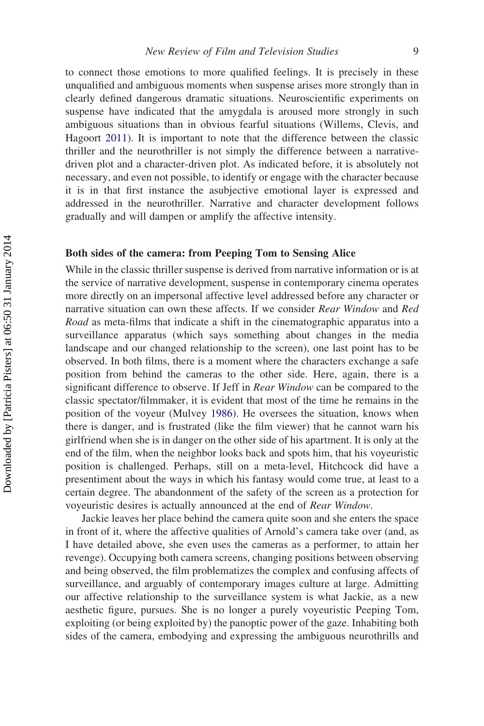to connect those emotions to more qualified feelings. It is precisely in these unqualified and ambiguous moments when suspense arises more strongly than in clearly defined dangerous dramatic situations. Neuroscientific experiments on suspense have indicated that the amygdala is aroused more strongly in such ambiguous situations than in obvious fearful situations (Willems, Clevis, and Hagoort [2011](#page-12-16)). It is important to note that the difference between the classic thriller and the neurothriller is not simply the difference between a narrativedriven plot and a character-driven plot. As indicated before, it is absolutely not necessary, and even not possible, to identify or engage with the character because it is in that first instance the asubjective emotional layer is expressed and addressed in the neurothriller. Narrative and character development follows gradually and will dampen or amplify the affective intensity.

#### Both sides of the camera: from Peeping Tom to Sensing Alice

While in the classic thriller suspense is derived from narrative information or is at the service of narrative development, suspense in contemporary cinema operates more directly on an impersonal affective level addressed before any character or narrative situation can own these affects. If we consider Rear Window and Red Road as meta-films that indicate a shift in the cinematographic apparatus into a surveillance apparatus (which says something about changes in the media landscape and our changed relationship to the screen), one last point has to be observed. In both films, there is a moment where the characters exchange a safe position from behind the cameras to the other side. Here, again, there is a significant difference to observe. If Jeff in Rear Window can be compared to the classic spectator/filmmaker, it is evident that most of the time he remains in the position of the voyeur (Mulvey [1986](#page-12-17)). He oversees the situation, knows when there is danger, and is frustrated (like the film viewer) that he cannot warn his girlfriend when she is in danger on the other side of his apartment. It is only at the end of the film, when the neighbor looks back and spots him, that his voyeuristic position is challenged. Perhaps, still on a meta-level, Hitchcock did have a presentiment about the ways in which his fantasy would come true, at least to a certain degree. The abandonment of the safety of the screen as a protection for voyeuristic desires is actually announced at the end of Rear Window.

Jackie leaves her place behind the camera quite soon and she enters the space in front of it, where the affective qualities of Arnold's camera take over (and, as I have detailed above, she even uses the cameras as a performer, to attain her revenge). Occupying both camera screens, changing positions between observing and being observed, the film problematizes the complex and confusing affects of surveillance, and arguably of contemporary images culture at large. Admitting our affective relationship to the surveillance system is what Jackie, as a new aesthetic figure, pursues. She is no longer a purely voyeuristic Peeping Tom, exploiting (or being exploited by) the panoptic power of the gaze. Inhabiting both sides of the camera, embodying and expressing the ambiguous neurothrills and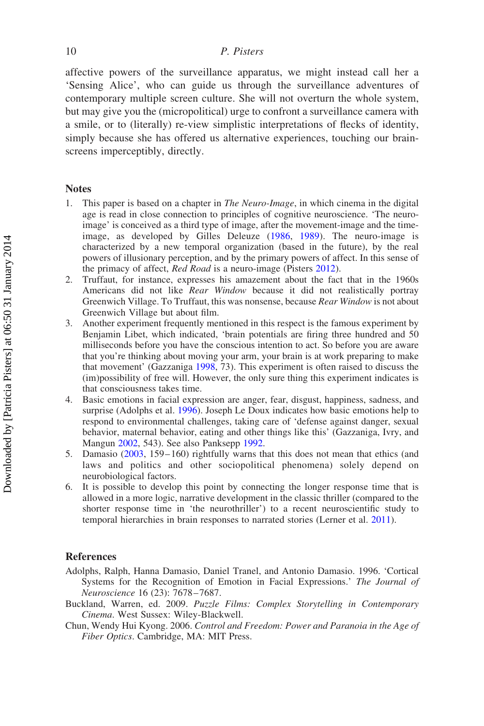affective powers of the surveillance apparatus, we might instead call her a 'Sensing Alice', who can guide us through the surveillance adventures of contemporary multiple screen culture. She will not overturn the whole system, but may give you the (micropolitical) urge to confront a surveillance camera with a smile, or to (literally) re-view simplistic interpretations of flecks of identity, simply because she has offered us alternative experiences, touching our brainscreens imperceptibly, directly.

#### Notes

- <span id="page-11-0"></span>This paper is based on a chapter in *The Neuro-Image*, in which cinema in the digital age is read in close connection to principles of cognitive neuroscience. 'The neuroimage' is conceived as a third type of image, after the movement-image and the timeimage, as developed by Gilles Deleuze ([1986](#page-12-8), [1989\)](#page-12-18). The neuro-image is characterized by a new temporal organization (based in the future), by the real powers of illusionary perception, and by the primary powers of affect. In this sense of the primacy of affect, *Red Road* is a neuro-image (Pisters [2012](#page-12-19)).
- <span id="page-11-2"></span>2. Truffaut, for instance, expresses his amazement about the fact that in the 1960s Americans did not like Rear Window because it did not realistically portray Greenwich Village. To Truffaut, this was nonsense, because Rear Window is not about Greenwich Village but about film.
- <span id="page-11-4"></span>3. Another experiment frequently mentioned in this respect is the famous experiment by Benjamin Libet, which indicated, 'brain potentials are firing three hundred and 50 milliseconds before you have the conscious intention to act. So before you are aware that you're thinking about moving your arm, your brain is at work preparing to make that movement' (Gazzaniga [1998,](#page-12-20) 73). This experiment is often raised to discuss the (im)possibility of free will. However, the only sure thing this experiment indicates is that consciousness takes time.
- <span id="page-11-5"></span>4. Basic emotions in facial expression are anger, fear, disgust, happiness, sadness, and surprise (Adolphs et al. [1996](#page-11-8)). Joseph Le Doux indicates how basic emotions help to respond to environmental challenges, taking care of 'defense against danger, sexual behavior, maternal behavior, eating and other things like this' (Gazzaniga, Ivry, and Mangun [2002,](#page-12-10) 543). See also Panksepp [1992.](#page-12-21)
- <span id="page-11-6"></span>5. Damasio [\(2003](#page-12-11), 159– 160) rightfully warns that this does not mean that ethics (and laws and politics and other sociopolitical phenomena) solely depend on neurobiological factors.
- <span id="page-11-7"></span>6. It is possible to develop this point by connecting the longer response time that is allowed in a more logic, narrative development in the classic thriller (compared to the shorter response time in 'the neurothriller') to a recent neuroscientific study to temporal hierarchies in brain responses to narrated stories (Lerner et al. [2011\)](#page-12-22).

#### <span id="page-11-8"></span>References

- Adolphs, Ralph, Hanna Damasio, Daniel Tranel, and Antonio Damasio. 1996. 'Cortical Systems for the Recognition of Emotion in Facial Expressions.' The Journal of Neuroscience 16 (23): 7678– 7687.
- <span id="page-11-3"></span><span id="page-11-1"></span>Buckland, Warren, ed. 2009. Puzzle Films: Complex Storytelling in Contemporary Cinema. West Sussex: Wiley-Blackwell.
- Chun, Wendy Hui Kyong. 2006. Control and Freedom: Power and Paranoia in the Age of Fiber Optics. Cambridge, MA: MIT Press.